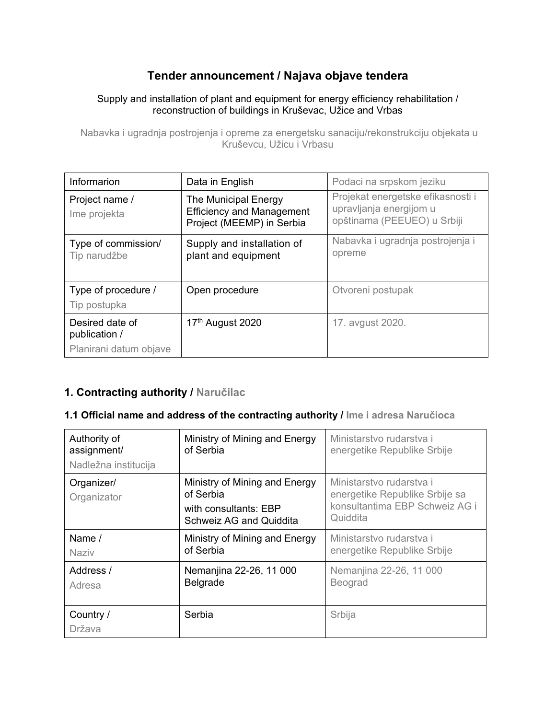# **Tender announcement / Najava objave tendera**

#### Supply and installation of plant and equipment for energy efficiency rehabilitation / reconstruction of buildings in Kruševac, Užice and Vrbas

Nabavka i ugradnja postrojenja i opreme za energetsku sanaciju/rekonstrukciju objekata u Kruševcu, Užicu i Vrbasu

| Informarion                         | Data in English                                                                       | Podaci na srpskom jeziku                                                                    |
|-------------------------------------|---------------------------------------------------------------------------------------|---------------------------------------------------------------------------------------------|
| Project name /<br>Ime projekta      | The Municipal Energy<br><b>Efficiency and Management</b><br>Project (MEEMP) in Serbia | Projekat energetske efikasnosti i<br>upravljanja energijom u<br>opštinama (PEEUEO) u Srbiji |
| Type of commission/<br>Tip narudžbe | Supply and installation of<br>plant and equipment                                     | Nabavka i ugradnja postrojenja i<br>opreme                                                  |
| Type of procedure /<br>Tip postupka | Open procedure                                                                        | Otvoreni postupak                                                                           |
| Desired date of<br>publication /    | 17th August 2020                                                                      | 17. avgust 2020.                                                                            |
| Planirani datum objave              |                                                                                       |                                                                                             |

### **1. Contracting authority / Naručilac**

#### **1.1 Official name and address of the contracting authority / Ime i adresa Naručioca**

| Authority of<br>assignment/<br>Nadležna institucija | Ministry of Mining and Energy<br>of Serbia                                                     | Ministarstvo rudarstva i<br>energetike Republike Srbije                                                  |
|-----------------------------------------------------|------------------------------------------------------------------------------------------------|----------------------------------------------------------------------------------------------------------|
| Organizer/<br>Organizator                           | Ministry of Mining and Energy<br>of Serbia<br>with consultants: EBP<br>Schweiz AG and Quiddita | Ministarstvo rudarstva i<br>energetike Republike Srbije sa<br>konsultantima EBP Schweiz AG i<br>Quiddita |
| Name $/$<br>Naziv                                   | Ministry of Mining and Energy<br>of Serbia                                                     | Ministarstvo rudarstva i<br>energetike Republike Srbije                                                  |
| Address /<br>Adresa                                 | Nemanjina 22-26, 11 000<br>Belgrade                                                            | Nemanjina 22-26, 11 000<br>Beograd                                                                       |
| Country /<br>Država                                 | Serbia                                                                                         | Srbija                                                                                                   |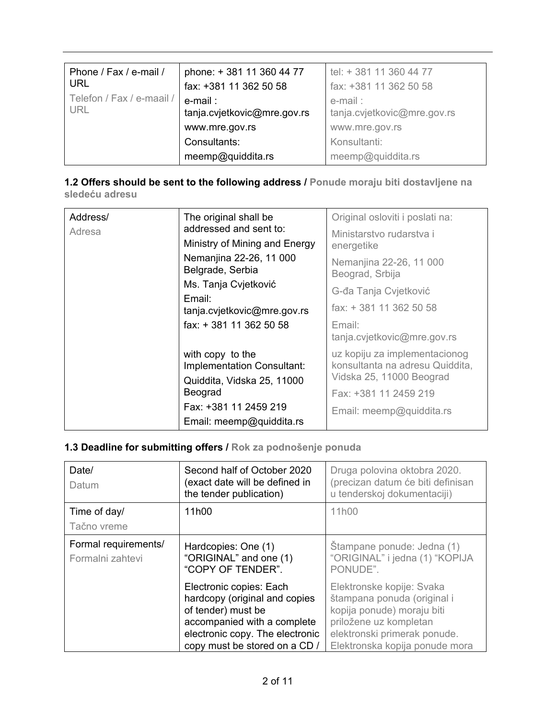| Phone / Fax / e-mail /<br><b>URL</b>    | phone: +381 11 360 44 77<br>fax: +381 11 362 50 58 | tel: + 381 11 360 44 77<br>fax: +381 11 362 50 58 |
|-----------------------------------------|----------------------------------------------------|---------------------------------------------------|
| Telefon / Fax / e-maail /<br><b>URL</b> | e-mail:<br>tanja.cvjetkovic@mre.gov.rs             | e-mail:<br>tanja.cvjetkovic@mre.gov.rs            |
|                                         | www.mre.gov.rs                                     | www.mre.gov.rs                                    |
|                                         | Consultants:                                       | Konsultanti:                                      |
|                                         | meemp@quiddita.rs                                  | meemp@quiddita.rs                                 |

### **1.2 Offers should be sent to the following address / Ponude moraju biti dostavljene na sledeću adresu**

| Address/<br>The original shall be<br>addressed and sent to:<br>Adresa<br>Nemanjina 22-26, 11 000<br>Belgrade, Serbia<br>Ms. Tanja Cvjetković<br>Email:<br>fax: +381 11 362 50 58 | Ministry of Mining and Energy<br>tanja.cvjetkovic@mre.gov.rs                                                                                 | Original osloviti i poslati na:<br>Ministarstvo rudarstva i<br>energetike<br>Nemanjina 22-26, 11 000<br>Beograd, Srbija<br>G-đa Tanja Cvjetković<br>fax: +381 11 362 50 58<br>Email:<br>tanja.cvjetkovic@mre.gov.rs |
|----------------------------------------------------------------------------------------------------------------------------------------------------------------------------------|----------------------------------------------------------------------------------------------------------------------------------------------|---------------------------------------------------------------------------------------------------------------------------------------------------------------------------------------------------------------------|
|                                                                                                                                                                                  | with copy to the<br>Implementation Consultant:<br>Quiddita, Vidska 25, 11000<br>Beograd<br>Fax: +381 11 2459 219<br>Email: meemp@quiddita.rs | uz kopiju za implementacionog<br>konsultanta na adresu Quiddita,<br>Vidska 25, 11000 Beograd<br>Fax: +381 11 2459 219<br>Email: meemp@quiddita.rs                                                                   |

# **1.3 Deadline for submitting offers / Rok za podnošenje ponuda**

| Date/<br>Datum                           | Second half of October 2020<br>(exact date will be defined in<br>the tender publication)                                                                                          | Druga polovina oktobra 2020.<br>(precizan datum će biti definisan<br>u tenderskoj dokumentaciji)                                                                                   |
|------------------------------------------|-----------------------------------------------------------------------------------------------------------------------------------------------------------------------------------|------------------------------------------------------------------------------------------------------------------------------------------------------------------------------------|
| Time of day/<br>Tačno vreme              | 11h00                                                                                                                                                                             | 11 <sub>h00</sub>                                                                                                                                                                  |
| Formal requirements/<br>Formalni zahtevi | Hardcopies: One (1)<br>"ORIGINAL" and one (1)<br>"COPY OF TENDER".                                                                                                                | Štampane ponude: Jedna (1)<br>"ORIGINAL" i jedna (1) "KOPIJA<br>PONUDE".                                                                                                           |
|                                          | Electronic copies: Each<br>hardcopy (original and copies<br>of tender) must be<br>accompanied with a complete<br>electronic copy. The electronic<br>copy must be stored on a CD / | Elektronske kopije: Svaka<br>štampana ponuda (original i<br>kopija ponude) moraju biti<br>priložene uz kompletan<br>elektronski primerak ponude.<br>Elektronska kopija ponude mora |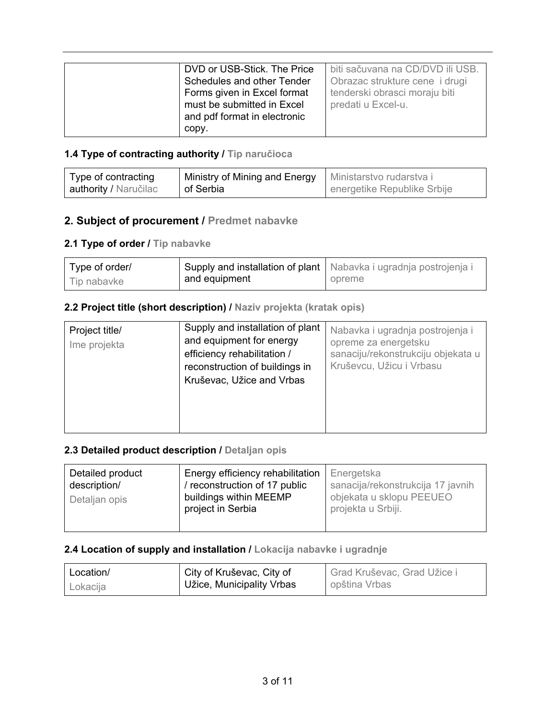| DVD or USB-Stick. The Price  | biti sačuvana na CD/DVD ili USB. |
|------------------------------|----------------------------------|
| Schedules and other Tender   | Obrazac strukture cene i drugi   |
| Forms given in Excel format  | tenderski obrasci moraju biti    |
| must be submitted in Excel   | predati u Excel-u.               |
| and pdf format in electronic |                                  |
| copy.                        |                                  |

#### **1.4 Type of contracting authority / Tip naručioca**

| Type of contracting   | Ministry of Mining and Energy | Ministarstvo rudarstva i    |
|-----------------------|-------------------------------|-----------------------------|
| authority / Naručilac | of Serbia                     | energetike Republike Srbije |

### **2. Subject of procurement / Predmet nabavke**

### **2.1 Type of order / Tip nabavke**

| Type of order/ |               | Supply and installation of plant   Nabavka i ugradnja postrojenja i |
|----------------|---------------|---------------------------------------------------------------------|
| Tip nabavke    | and equipment | opreme                                                              |

#### **2.2 Project title (short description) / Naziv projekta (kratak opis)**

| Project title/<br>Ime projekta | Supply and installation of plant<br>and equipment for energy<br>efficiency rehabilitation /<br>reconstruction of buildings in<br>Kruševac, Užice and Vrbas | Nabavka i ugradnja postrojenja i<br>opreme za energetsku<br>sanaciju/rekonstrukciju objekata u<br>Kruševcu, Užicu i Vrbasu |
|--------------------------------|------------------------------------------------------------------------------------------------------------------------------------------------------------|----------------------------------------------------------------------------------------------------------------------------|
|--------------------------------|------------------------------------------------------------------------------------------------------------------------------------------------------------|----------------------------------------------------------------------------------------------------------------------------|

### **2.3 Detailed product description / Detaljan opis**

| Energy efficiency rehabilitation<br>Detailed product<br>/ reconstruction of 17 public<br>description/<br>buildings within MEEMP<br>Detaljan opis<br>project in Serbia | Energetska<br>sanacija/rekonstrukcija 17 javnih<br>objekata u sklopu PEEUEO<br>projekta u Srbiji. |
|-----------------------------------------------------------------------------------------------------------------------------------------------------------------------|---------------------------------------------------------------------------------------------------|
|-----------------------------------------------------------------------------------------------------------------------------------------------------------------------|---------------------------------------------------------------------------------------------------|

### **2.4 Location of supply and installation / Lokacija nabavke i ugradnje**

| Location/ | City of Kruševac, City of | Grad Kruševac, Grad Užice i |
|-----------|---------------------------|-----------------------------|
| Lokacija  | Užice, Municipality Vrbas | opština Vrbas               |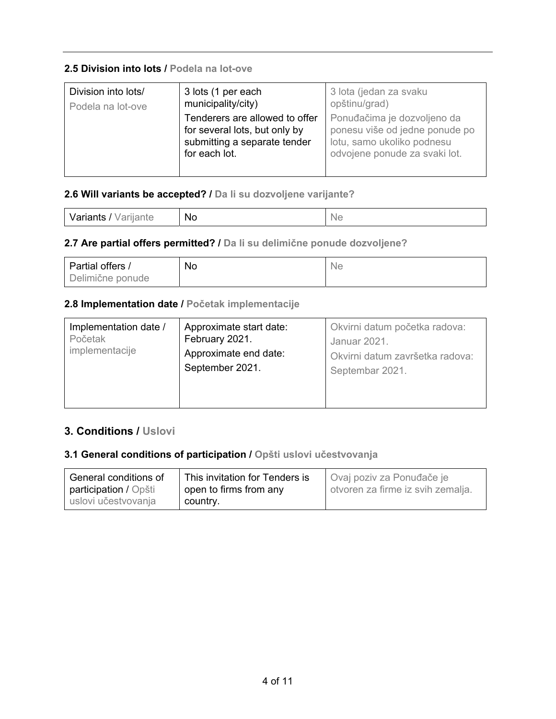#### **2.5 Division into lots / Podela na lot-ove**

| Division into lots/ | 3 lots (1 per each                                                                                               | 3 lota (jedan za svaku                                                                                                       |
|---------------------|------------------------------------------------------------------------------------------------------------------|------------------------------------------------------------------------------------------------------------------------------|
| Podela na lot-ove   | municipality/city)                                                                                               | opštinu/grad)                                                                                                                |
|                     | Tenderers are allowed to offer<br>for several lots, but only by<br>submitting a separate tender<br>for each lot. | Ponuđačima je dozvoljeno da<br>ponesu više od jedne ponude po<br>lotu, samo ukoliko podnesu<br>odvojene ponude za svaki lot. |

### **2.6 Will variants be accepted? / Da li su dozvoljene varijante?**

#### **2.7 Are partial offers permitted? / Da li su delimične ponude dozvoljene?**

| Partial offers / | No | <b>Ne</b> |
|------------------|----|-----------|
| Delimične ponude |    |           |

### **2.8 Implementation date / Početak implementacije**

| Implementation date / | Approximate start date:                  | Okvirni datum početka radova:                      |
|-----------------------|------------------------------------------|----------------------------------------------------|
| Početak               | February 2021.                           | Januar 2021.                                       |
| implementacije        | Approximate end date:<br>September 2021. | Okvirni datum završetka radova:<br>Septembar 2021. |

# **3. Conditions / Uslovi**

#### **3.1 General conditions of participation / Opšti uslovi učestvovanja**

| General conditions of | This invitation for Tenders is | Ovaj poziv za Ponuđače je         |
|-----------------------|--------------------------------|-----------------------------------|
| participation / Opšti | open to firms from any         | otvoren za firme iz svih zemalja. |
| uslovi učestvovanja   | country.                       |                                   |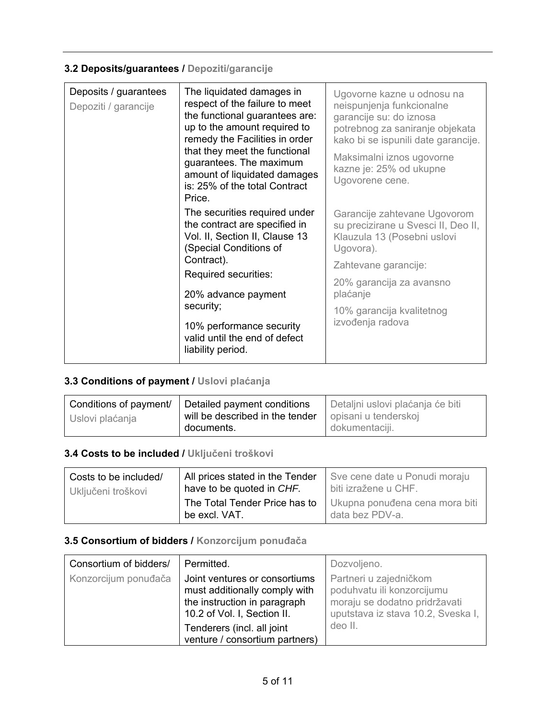# **3.2 Deposits/guarantees / Depoziti/garancije**

| Deposits / guarantees<br>The liquidated damages in<br>Depoziti / garancije<br>up to the amount required to<br>that they meet the functional<br>guarantees. The maximum<br>is: 25% of the total Contract<br>Price.<br>The securities required under<br>the contract are specified in<br>Vol. II, Section II, Clause 13<br>(Special Conditions of<br>Contract).<br>Required securities:<br>20% advance payment<br>security;<br>10% performance security<br>valid until the end of defect<br>liability period. | respect of the failure to meet<br>the functional guarantees are:<br>remedy the Facilities in order<br>amount of liquidated damages                                                                                               | Ugovorne kazne u odnosu na<br>neispunjenja funkcionalne<br>garancije su: do iznosa<br>potrebnog za saniranje objekata<br>kako bi se ispunili date garancije.<br>Maksimalni iznos ugovorne<br>kazne je: 25% od ukupne<br>Ugovorene cene. |
|-------------------------------------------------------------------------------------------------------------------------------------------------------------------------------------------------------------------------------------------------------------------------------------------------------------------------------------------------------------------------------------------------------------------------------------------------------------------------------------------------------------|----------------------------------------------------------------------------------------------------------------------------------------------------------------------------------------------------------------------------------|-----------------------------------------------------------------------------------------------------------------------------------------------------------------------------------------------------------------------------------------|
|                                                                                                                                                                                                                                                                                                                                                                                                                                                                                                             | Garancije zahtevane Ugovorom<br>su precizirane u Svesci II, Deo II,<br>Klauzula 13 (Posebni uslovi<br>Ugovora).<br>Zahtevane garancije:<br>20% garancija za avansno<br>plaćanje<br>10% garancija kvalitetnog<br>izvođenja radova |                                                                                                                                                                                                                                         |

# **3.3 Conditions of payment / Uslovi plaćanja**

|                 | Conditions of payment/   Detailed payment conditions | Detaljni uslovi plaćanja će biti |
|-----------------|------------------------------------------------------|----------------------------------|
| Uslovi plaćanja | will be described in the tender                      | opisani u tenderskoj             |
|                 | documents.                                           | dokumentaciji.                   |

#### **3.4 Costs to be included / Uključeni troškovi**

| Costs to be included/ | All prices stated in the Tender                | Sve cene date u Ponudi moraju                     |
|-----------------------|------------------------------------------------|---------------------------------------------------|
| Uključeni troškovi    | have to be quoted in CHF.                      | biti izražene u CHF.                              |
|                       | The Total Tender Price has to<br>be excl. VAT. | Ukupna ponuđena cena mora biti<br>data bez PDV-a. |

# **3.5 Consortium of bidders / Konzorcijum ponuđača**

| Consortium of bidders/ | Permitted.                                                                                                                    | Dozvoljeno.                                                                                                                 |
|------------------------|-------------------------------------------------------------------------------------------------------------------------------|-----------------------------------------------------------------------------------------------------------------------------|
| Konzorcijum ponuđača   | Joint ventures or consortiums<br>must additionally comply with<br>the instruction in paragraph<br>10.2 of Vol. I, Section II. | Partneri u zajedničkom<br>poduhvatu ili konzorcijumu<br>moraju se dodatno pridržavati<br>uputstava iz stava 10.2, Sveska I, |
|                        | Tenderers (incl. all joint<br>venture / consortium partners)                                                                  | deo II.                                                                                                                     |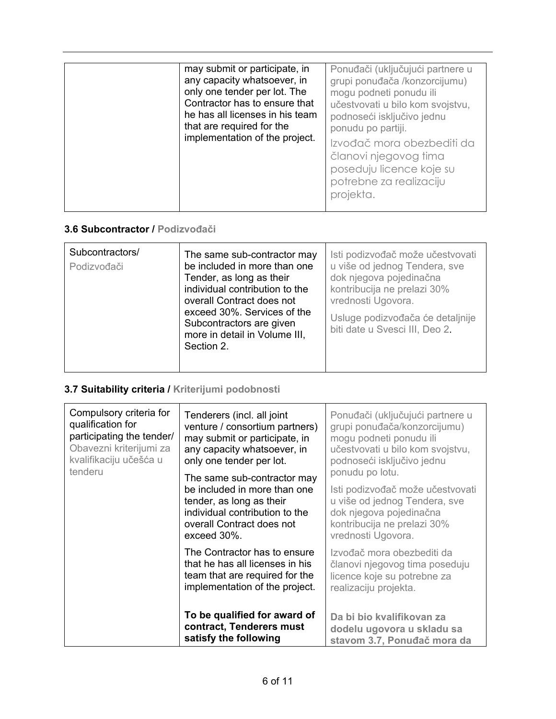| may submit or participate, in<br>any capacity whatsoever, in<br>only one tender per lot. The<br>Contractor has to ensure that<br>he has all licenses in his team<br>that are required for the<br>implementation of the project. | Ponuđači (uključujući partnere u<br>grupi ponuđača /konzorcijumu)<br>mogu podneti ponudu ili<br>učestvovati u bilo kom svojstvu,<br>podnoseći isključivo jednu<br>ponudu po partiji.<br>Izvođač mora obezbediti da<br>članovi njegovog tima<br>poseduju licence koje su<br>potrebne za realizaciju<br>projekta. |
|---------------------------------------------------------------------------------------------------------------------------------------------------------------------------------------------------------------------------------|-----------------------------------------------------------------------------------------------------------------------------------------------------------------------------------------------------------------------------------------------------------------------------------------------------------------|
|---------------------------------------------------------------------------------------------------------------------------------------------------------------------------------------------------------------------------------|-----------------------------------------------------------------------------------------------------------------------------------------------------------------------------------------------------------------------------------------------------------------------------------------------------------------|

#### **3.6 Subcontractor / Podizvođači**

| Subcontractors/<br>Podizvođači | The same sub-contractor may<br>be included in more than one<br>Tender, as long as their<br>individual contribution to the<br>overall Contract does not<br>exceed 30%. Services of the<br>Subcontractors are given<br>more in detail in Volume III,<br>Section 2. | Isti podizvođač može učestvovati<br>u više od jednog Tendera, sve<br>dok njegova pojedinačna<br>kontribucija ne prelazi 30%<br>vrednosti Ugovora.<br>Usluge podizvođača će detaljnije<br>biti date u Svesci III, Deo 2. |
|--------------------------------|------------------------------------------------------------------------------------------------------------------------------------------------------------------------------------------------------------------------------------------------------------------|-------------------------------------------------------------------------------------------------------------------------------------------------------------------------------------------------------------------------|
|--------------------------------|------------------------------------------------------------------------------------------------------------------------------------------------------------------------------------------------------------------------------------------------------------------|-------------------------------------------------------------------------------------------------------------------------------------------------------------------------------------------------------------------------|

# **3.7 Suitability criteria / Kriterijumi podobnosti**

| Compulsory criteria for<br>qualification for<br>participating the tender/<br>Obavezni kriterijumi za<br>kvalifikaciju učešća u<br>tenderu | Tenderers (incl. all joint<br>venture / consortium partners)<br>may submit or participate, in<br>any capacity whatsoever, in<br>only one tender per lot.              | Ponuđači (uključujući partnere u<br>grupi ponuđača/konzorcijumu)<br>mogu podneti ponudu ili<br>učestvovati u bilo kom svojstvu,<br>podnoseći isključivo jednu        |
|-------------------------------------------------------------------------------------------------------------------------------------------|-----------------------------------------------------------------------------------------------------------------------------------------------------------------------|----------------------------------------------------------------------------------------------------------------------------------------------------------------------|
|                                                                                                                                           | The same sub-contractor may<br>be included in more than one<br>tender, as long as their<br>individual contribution to the<br>overall Contract does not<br>exceed 30%. | ponudu po lotu.<br>Isti podizvođač može učestvovati<br>u više od jednog Tendera, sve<br>dok njegova pojedinačna<br>kontribucija ne prelazi 30%<br>vrednosti Ugovora. |
|                                                                                                                                           | The Contractor has to ensure<br>that he has all licenses in his<br>team that are required for the<br>implementation of the project.                                   | Izvođač mora obezbediti da<br>članovi njegovog tima poseduju<br>licence koje su potrebne za<br>realizaciju projekta.                                                 |
|                                                                                                                                           | To be qualified for award of<br>contract, Tenderers must<br>satisfy the following                                                                                     | Da bi bio kvalifikovan za<br>dodelu ugovora u skladu sa<br>stavom 3.7, Ponuđač mora da                                                                               |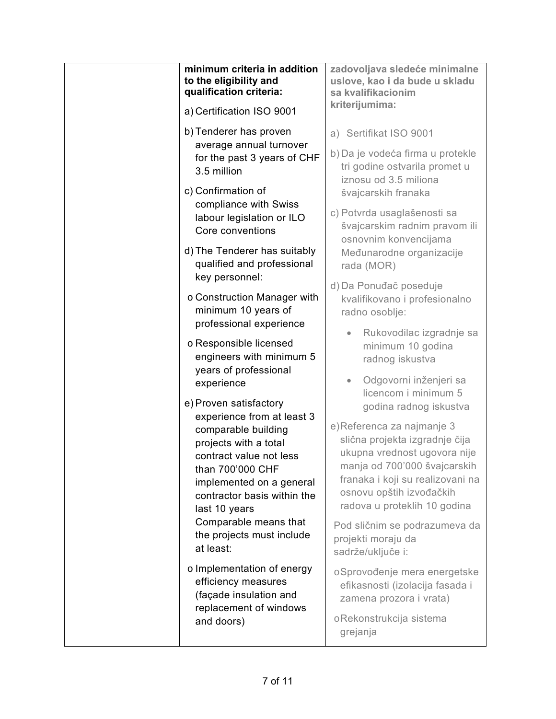| minimum criteria in addition<br>to the eligibility and<br>qualification criteria:<br>a) Certification ISO 9001                                                          | zadovoljava sledeće minimalne<br>uslove, kao i da bude u skladu<br>sa kvalifikacionim<br>kriterijumima:                                                                                        |
|-------------------------------------------------------------------------------------------------------------------------------------------------------------------------|------------------------------------------------------------------------------------------------------------------------------------------------------------------------------------------------|
|                                                                                                                                                                         |                                                                                                                                                                                                |
| b) Tenderer has proven<br>average annual turnover                                                                                                                       | a) Sertifikat ISO 9001                                                                                                                                                                         |
| for the past 3 years of CHF<br>3.5 million                                                                                                                              | b) Da je vodeća firma u protekle<br>tri godine ostvarila promet u<br>iznosu od 3.5 miliona                                                                                                     |
| c) Confirmation of                                                                                                                                                      | švajcarskih franaka                                                                                                                                                                            |
| compliance with Swiss<br>labour legislation or ILO<br>Core conventions                                                                                                  | c) Potvrda usaglašenosti sa<br>švajcarskim radnim pravom ili<br>osnovnim konvencijama                                                                                                          |
| d) The Tenderer has suitably<br>qualified and professional<br>key personnel:                                                                                            | Međunarodne organizacije<br>rada (MOR)                                                                                                                                                         |
| o Construction Manager with<br>minimum 10 years of                                                                                                                      | d) Da Ponuđač poseduje<br>kvalifikovano i profesionalno<br>radno osoblje:                                                                                                                      |
| professional experience<br>o Responsible licensed<br>engineers with minimum 5                                                                                           | Rukovodilac izgradnje sa<br>$\bullet$<br>minimum 10 godina<br>radnog iskustva                                                                                                                  |
| years of professional<br>experience                                                                                                                                     | Odgovorni inženjeri sa<br>$\bullet$<br>licencom i minimum 5                                                                                                                                    |
| e) Proven satisfactory<br>experience from at least 3                                                                                                                    | godina radnog iskustva<br>e)Referenca za najmanje 3                                                                                                                                            |
| comparable building<br>projects with a total<br>contract value not less<br>than 700'000 CHF<br>implemented on a general<br>contractor basis within the<br>last 10 years | slična projekta izgradnje čija<br>ukupna vrednost ugovora nije<br>manja od 700'000 švajcarskih<br>franaka i koji su realizovani na<br>osnovu opštih izvođačkih<br>radova u proteklih 10 godina |
| Comparable means that<br>the projects must include<br>at least:                                                                                                         | Pod sličnim se podrazumeva da<br>projekti moraju da<br>sadrže/uključe i:                                                                                                                       |
| o Implementation of energy<br>efficiency measures<br>(façade insulation and<br>replacement of windows                                                                   | oSprovođenje mera energetske<br>efikasnosti (izolacija fasada i<br>zamena prozora i vrata)                                                                                                     |
| and doors)                                                                                                                                                              | oRekonstrukcija sistema<br>grejanja                                                                                                                                                            |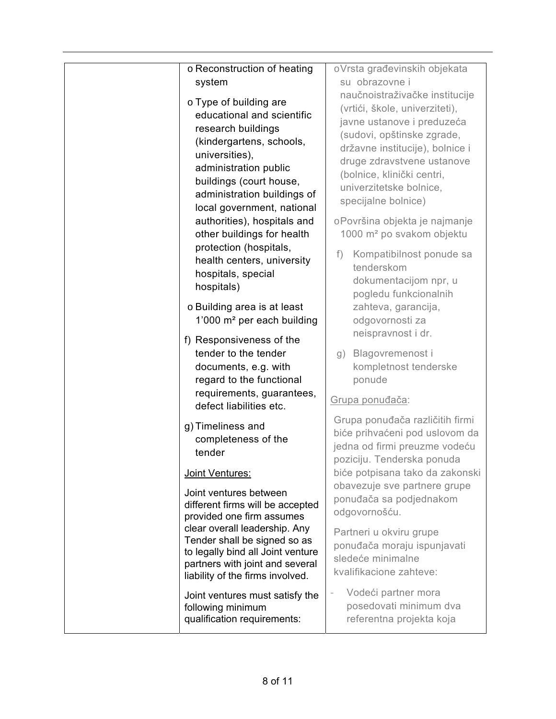| o Reconstruction of heating                                                                                                                                                                                     | oVrsta građevinskih objekata                                                                                                                                                                              |
|-----------------------------------------------------------------------------------------------------------------------------------------------------------------------------------------------------------------|-----------------------------------------------------------------------------------------------------------------------------------------------------------------------------------------------------------|
| system<br>o Type of building are                                                                                                                                                                                | su obrazovne i<br>naučnoistraživačke institucije<br>(vrtići, škole, univerziteti),                                                                                                                        |
| educational and scientific<br>research buildings<br>(kindergartens, schools,<br>universities),<br>administration public<br>buildings (court house,<br>administration buildings of<br>local government, national | javne ustanove i preduzeća<br>(sudovi, opštinske zgrade,<br>državne institucije), bolnice i<br>druge zdravstvene ustanove<br>(bolnice, klinički centri,<br>univerzitetske bolnice,<br>specijalne bolnice) |
| authorities), hospitals and<br>other buildings for health                                                                                                                                                       | oPovršina objekta je najmanje<br>1000 m <sup>2</sup> po svakom objektu                                                                                                                                    |
| protection (hospitals,<br>health centers, university<br>hospitals, special<br>hospitals)                                                                                                                        | Kompatibilnost ponude sa<br>f)<br>tenderskom<br>dokumentacijom npr, u<br>pogledu funkcionalnih                                                                                                            |
| o Building area is at least<br>1'000 m <sup>2</sup> per each building                                                                                                                                           | zahteva, garancija,<br>odgovornosti za<br>neispravnost i dr.                                                                                                                                              |
| f) Responsiveness of the<br>tender to the tender<br>documents, e.g. with<br>regard to the functional                                                                                                            | Blagovremenost i<br>g)<br>kompletnost tenderske<br>ponude                                                                                                                                                 |
| requirements, guarantees,<br>defect liabilities etc.                                                                                                                                                            | Grupa ponuđača:                                                                                                                                                                                           |
| g) Timeliness and<br>completeness of the<br>tender                                                                                                                                                              | Grupa ponuđača različitih firmi<br>biće prihvaćeni pod uslovom da<br>jedna od firmi preuzme vodeću<br>poziciju. Tenderska ponuda                                                                          |
| Joint Ventures:                                                                                                                                                                                                 | biće potpisana tako da zakonski                                                                                                                                                                           |
| Joint ventures between<br>different firms will be accepted<br>provided one firm assumes                                                                                                                         | obavezuje sve partnere grupe<br>ponuđača sa podjednakom<br>odgovornošću.                                                                                                                                  |
| clear overall leadership. Any<br>Tender shall be signed so as<br>to legally bind all Joint venture<br>partners with joint and several<br>liability of the firms involved.                                       | Partneri u okviru grupe<br>ponuđača moraju ispunjavati<br>sledeće minimalne<br>kvalifikacione zahteve:                                                                                                    |
| Joint ventures must satisfy the<br>following minimum<br>qualification requirements:                                                                                                                             | Vodeći partner mora<br>posedovati minimum dva<br>referentna projekta koja                                                                                                                                 |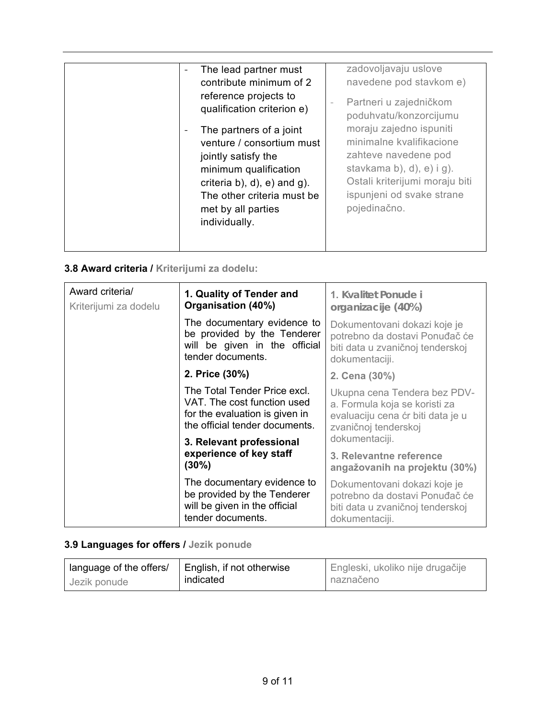# **3.8 Award criteria / Kriterijumi za dodelu:**

| Award criteria/<br>Kriterijumi za dodelu | 1. Quality of Tender and<br>Organisation (40%)                                                                                  | 1. Kvalitet Ponude i<br>organizacije (40%)                                                                                 |
|------------------------------------------|---------------------------------------------------------------------------------------------------------------------------------|----------------------------------------------------------------------------------------------------------------------------|
|                                          | The documentary evidence to<br>be provided by the Tenderer<br>will be given in the official<br>tender documents.                | Dokumentovani dokazi koje je<br>potrebno da dostavi Ponuđač će<br>biti data u zvaničnoj tenderskoj<br>dokumentaciji.       |
|                                          | 2. Price (30%)                                                                                                                  | 2. Cena (30%)                                                                                                              |
|                                          | The Total Tender Price excl.<br>VAT. The cost function used<br>for the evaluation is given in<br>the official tender documents. | Ukupna cena Tendera bez PDV-<br>a. Formula koja se koristi za<br>evaluaciju cena ćr biti data je u<br>zvaničnoj tenderskoj |
|                                          | 3. Relevant professional<br>experience of key staff<br>$(30\%)$                                                                 | dokumentaciji.<br>3. Relevantne reference<br>angažovanih na projektu (30%)                                                 |
|                                          | The documentary evidence to<br>be provided by the Tenderer<br>will be given in the official<br>tender documents.                | Dokumentovani dokazi koje je<br>potrebno da dostavi Ponuđač će<br>biti data u zvaničnoj tenderskoj<br>dokumentaciji.       |

# **3.9 Languages for offers / Jezik ponude**

| language of the offers/ | English, if not otherwise | Engleski, ukoliko nije drugačije |
|-------------------------|---------------------------|----------------------------------|
| Jezik ponude            | indicated                 | naznačeno                        |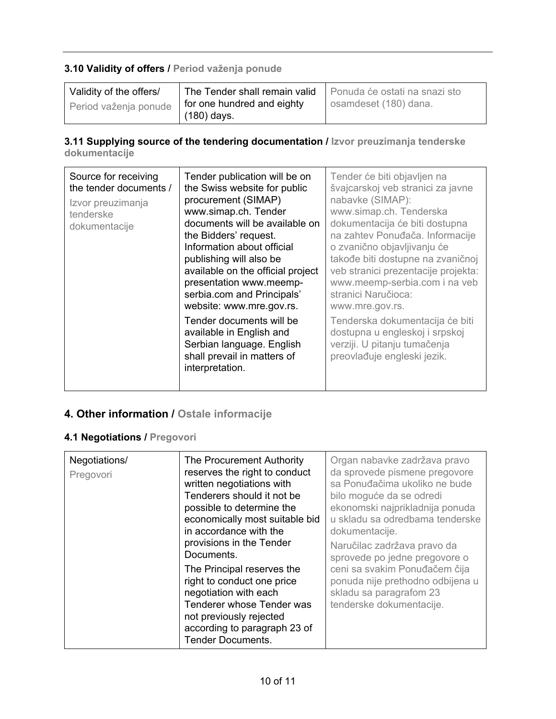# **3.10 Validity of offers / Period važenja ponude**

| Validity of the offers/ | The Tender shall remain valid | Ponuda će ostati na snazi sto |
|-------------------------|-------------------------------|-------------------------------|
| Period važenja ponude   | for one hundred and eighty    | osamdeset (180) dana.         |
|                         | (180) days.                   |                               |

### **3.11 Supplying source of the tendering documentation / Izvor preuzimanja tenderske dokumentacije**

| Source for receiving<br>Tender publication will be on<br>the tender documents /<br>the Swiss website for public<br>procurement (SIMAP)<br>Izvor preuzimanja<br>www.simap.ch. Tender<br>tenderske<br>documents will be available on<br>dokumentacije<br>the Bidders' request.<br>Information about official<br>publishing will also be<br>available on the official project<br>presentation www.meemp-<br>serbia.com and Principals'<br>website: www.mre.gov.rs.<br>Tender documents will be<br>available in English and<br>Serbian language. English<br>shall prevail in matters of<br>interpretation. | Tender će biti objavljen na<br>švajcarskoj veb stranici za javne<br>nabavke (SIMAP):<br>www.simap.ch. Tenderska<br>dokumentacija će biti dostupna<br>na zahtev Ponuđača. Informacije<br>o zvanično objavljivanju će<br>takođe biti dostupne na zvaničnoj<br>veb stranici prezentacije projekta:<br>www.meemp-serbia.com i na veb<br>stranici Naručioca:<br>www.mre.gov.rs.<br>Tenderska dokumentacija će biti<br>dostupna u engleskoj i srpskoj<br>verziji. U pitanju tumačenja<br>preovlađuje engleski jezik. |
|--------------------------------------------------------------------------------------------------------------------------------------------------------------------------------------------------------------------------------------------------------------------------------------------------------------------------------------------------------------------------------------------------------------------------------------------------------------------------------------------------------------------------------------------------------------------------------------------------------|----------------------------------------------------------------------------------------------------------------------------------------------------------------------------------------------------------------------------------------------------------------------------------------------------------------------------------------------------------------------------------------------------------------------------------------------------------------------------------------------------------------|
|--------------------------------------------------------------------------------------------------------------------------------------------------------------------------------------------------------------------------------------------------------------------------------------------------------------------------------------------------------------------------------------------------------------------------------------------------------------------------------------------------------------------------------------------------------------------------------------------------------|----------------------------------------------------------------------------------------------------------------------------------------------------------------------------------------------------------------------------------------------------------------------------------------------------------------------------------------------------------------------------------------------------------------------------------------------------------------------------------------------------------------|

# **4. Other information / Ostale informacije**

# **4.1 Negotiations / Pregovori**

| written negotiations with<br>Tenderers should it not be<br>possible to determine the<br>economically most suitable bid<br>in accordance with the<br>provisions in the Tender<br>Documents.<br>The Principal reserves the<br>right to conduct one price<br>negotiation with each<br>Tenderer whose Tender was<br>not previously rejected<br>according to paragraph 23 of<br><b>Tender Documents.</b> | da sprovede pismene pregovore<br>sa Ponuđačima ukoliko ne bude<br>bilo moguće da se odredi<br>ekonomski najprikladnija ponuda<br>u skladu sa odredbama tenderske<br>dokumentacije.<br>Naručilac zadržava pravo da<br>sprovede po jedne pregovore o<br>ceni sa svakim Ponuđačem čija<br>ponuda nije prethodno odbijena u<br>skladu sa paragrafom 23<br>tenderske dokumentacije. |
|-----------------------------------------------------------------------------------------------------------------------------------------------------------------------------------------------------------------------------------------------------------------------------------------------------------------------------------------------------------------------------------------------------|--------------------------------------------------------------------------------------------------------------------------------------------------------------------------------------------------------------------------------------------------------------------------------------------------------------------------------------------------------------------------------|
|-----------------------------------------------------------------------------------------------------------------------------------------------------------------------------------------------------------------------------------------------------------------------------------------------------------------------------------------------------------------------------------------------------|--------------------------------------------------------------------------------------------------------------------------------------------------------------------------------------------------------------------------------------------------------------------------------------------------------------------------------------------------------------------------------|